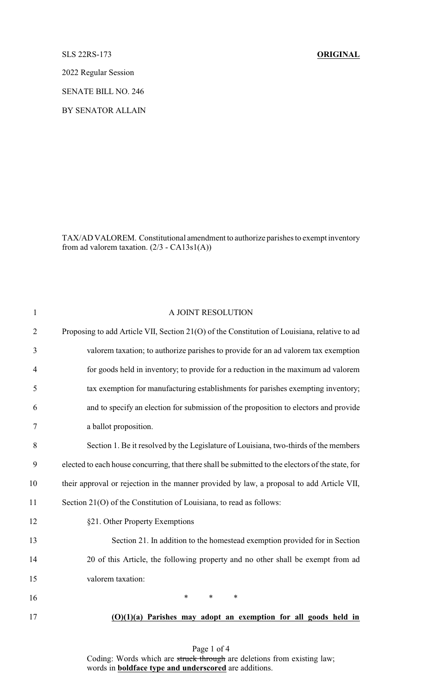SLS 22RS-173 **ORIGINAL**

2022 Regular Session

SENATE BILL NO. 246

BY SENATOR ALLAIN

TAX/AD VALOREM. Constitutional amendment to authorize parishes to exempt inventory from ad valorem taxation.  $(2/3 - CA13s1(A))$ 

| $\mathbf{1}$   | A JOINT RESOLUTION                                                                                |
|----------------|---------------------------------------------------------------------------------------------------|
| $\overline{2}$ | Proposing to add Article VII, Section 21(O) of the Constitution of Louisiana, relative to ad      |
| 3              | valorem taxation; to authorize parishes to provide for an ad valorem tax exemption                |
| 4              | for goods held in inventory; to provide for a reduction in the maximum ad valorem                 |
| 5              | tax exemption for manufacturing establishments for parishes exempting inventory;                  |
| 6              | and to specify an election for submission of the proposition to electors and provide              |
| 7              | a ballot proposition.                                                                             |
| 8              | Section 1. Be it resolved by the Legislature of Louisiana, two-thirds of the members              |
| 9              | elected to each house concurring, that there shall be submitted to the electors of the state, for |
| 10             | their approval or rejection in the manner provided by law, a proposal to add Article VII,         |
| 11             | Section 21(O) of the Constitution of Louisiana, to read as follows:                               |
| 12             | §21. Other Property Exemptions                                                                    |
| 13             | Section 21. In addition to the homestead exemption provided for in Section                        |
| 14             | 20 of this Article, the following property and no other shall be exempt from ad                   |
| 15             | valorem taxation:                                                                                 |
| 16             | $\ast$<br>$\ast$<br>$\ast$                                                                        |
| 17             | $(O)(1)(a)$ Parishes may adopt an exemption for all goods held in                                 |

Page 1 of 4 Coding: Words which are struck through are deletions from existing law; words in **boldface type and underscored** are additions.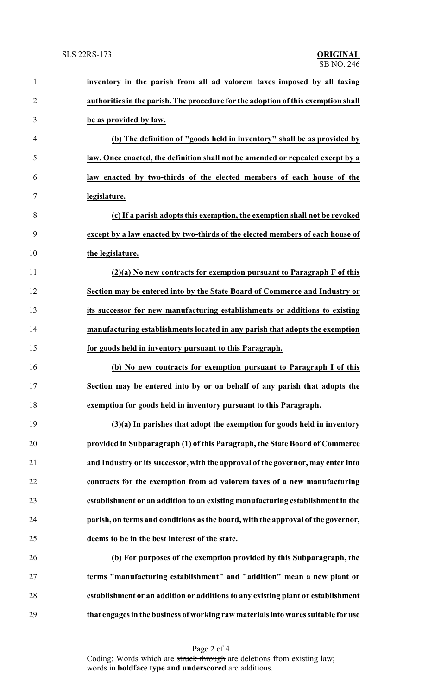| $\mathbf{1}$   | inventory in the parish from all ad valorem taxes imposed by all taxing           |
|----------------|-----------------------------------------------------------------------------------|
| $\overline{2}$ | authorities in the parish. The procedure for the adoption of this exemption shall |
| 3              | be as provided by law.                                                            |
| $\overline{4}$ | (b) The definition of "goods held in inventory" shall be as provided by           |
| 5              | law. Once enacted, the definition shall not be amended or repealed except by a    |
| 6              | law enacted by two-thirds of the elected members of each house of the             |
| 7              | legislature.                                                                      |
| 8              | (c) If a parish adopts this exemption, the exemption shall not be revoked         |
| 9              | except by a law enacted by two-thirds of the elected members of each house of     |
| 10             | the legislature.                                                                  |
| 11             | $(2)(a)$ No new contracts for exemption pursuant to Paragraph F of this           |
| 12             | Section may be entered into by the State Board of Commerce and Industry or        |
| 13             | its successor for new manufacturing establishments or additions to existing       |
| 14             | manufacturing establishments located in any parish that adopts the exemption      |
| 15             | for goods held in inventory pursuant to this Paragraph.                           |
| 16             | (b) No new contracts for exemption pursuant to Paragraph I of this                |
| 17             | Section may be entered into by or on behalf of any parish that adopts the         |
| 18             | exemption for goods held in inventory pursuant to this Paragraph.                 |
| 19             | $(3)(a)$ In parishes that adopt the exemption for goods held in inventory         |
| 20             | provided in Subparagraph (1) of this Paragraph, the State Board of Commerce       |
| 21             | and Industry or its successor, with the approval of the governor, may enter into  |
| 22             | contracts for the exemption from ad valorem taxes of a new manufacturing          |
| 23             | establishment or an addition to an existing manufacturing establishment in the    |
| 24             | parish, on terms and conditions as the board, with the approval of the governor,  |
| 25             | deems to be in the best interest of the state.                                    |
| 26             | (b) For purposes of the exemption provided by this Subparagraph, the              |
| 27             | terms "manufacturing establishment" and "addition" mean a new plant or            |
| 28             | establishment or an addition or additions to any existing plant or establishment  |
| 29             | that engages in the business of working raw materials into wares suitable for use |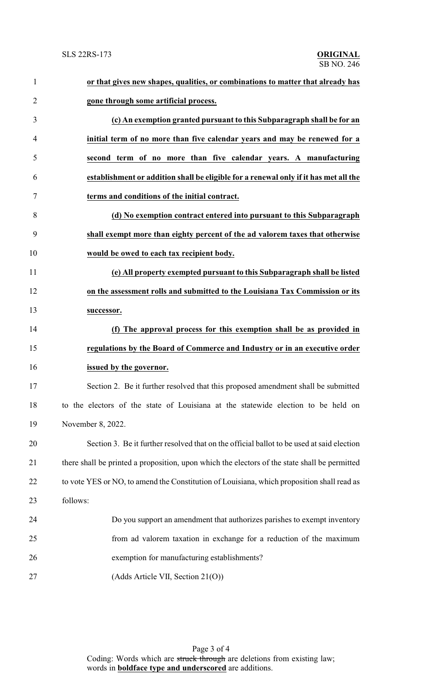| $\mathbf{1}$   | or that gives new shapes, qualities, or combinations to matter that already has               |
|----------------|-----------------------------------------------------------------------------------------------|
| $\overline{2}$ | gone through some artificial process.                                                         |
| 3              | (c) An exemption granted pursuant to this Subparagraph shall be for an                        |
| 4              | initial term of no more than five calendar years and may be renewed for a                     |
| 5              | second term of no more than five calendar years. A manufacturing                              |
| 6              | establishment or addition shall be eligible for a renewal only if it has met all the          |
| 7              | terms and conditions of the initial contract.                                                 |
| 8              | (d) No exemption contract entered into pursuant to this Subparagraph                          |
| 9              | shall exempt more than eighty percent of the ad valorem taxes that otherwise                  |
| 10             | would be owed to each tax recipient body.                                                     |
| 11             | (e) All property exempted pursuant to this Subparagraph shall be listed                       |
| 12             | on the assessment rolls and submitted to the Louisiana Tax Commission or its                  |
| 13             | successor.                                                                                    |
| 14             | (f) The approval process for this exemption shall be as provided in                           |
| 15             | regulations by the Board of Commerce and Industry or in an executive order                    |
| 16             | issued by the governor.                                                                       |
| 17             | Section 2. Be it further resolved that this proposed amendment shall be submitted             |
| 18             | to the electors of the state of Louisiana at the statewide election to be held on             |
| 19             | November 8, 2022.                                                                             |
| 20             | Section 3. Be it further resolved that on the official ballot to be used at said election     |
| 21             | there shall be printed a proposition, upon which the electors of the state shall be permitted |
| 22             | to vote YES or NO, to amend the Constitution of Louisiana, which proposition shall read as    |
| 23             | follows:                                                                                      |
| 24             | Do you support an amendment that authorizes parishes to exempt inventory                      |
| 25             | from ad valorem taxation in exchange for a reduction of the maximum                           |
| 26             | exemption for manufacturing establishments?                                                   |
| 27             | (Adds Article VII, Section 21(O))                                                             |